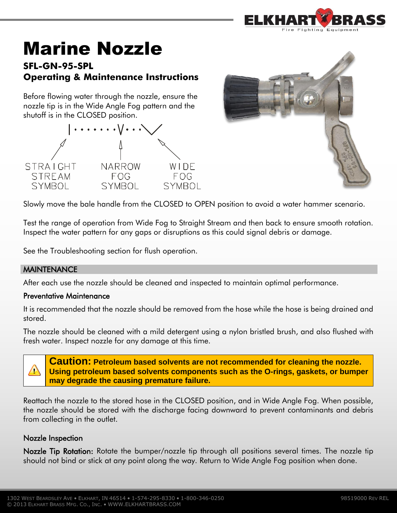

# Marine Nozzle

# **SFL-GN-95-SPL Operating & Maintenance Instructions**

Before flowing water through the nozzle, ensure the nozzle tip is in the Wide Angle Fog pattern and the shutoff is in the CLOSED position.





Slowly move the bale handle from the CLOSED to OPEN position to avoid a water hammer scenario.

Test the range of operation from Wide Fog to Straight Stream and then back to ensure smooth rotation. Inspect the water pattern for any gaps or disruptions as this could signal debris or damage.

See the Troubleshooting section for flush operation.

# **MAINTENANCE**

After each use the nozzle should be cleaned and inspected to maintain optimal performance.

#### Preventative Maintenance

It is recommended that the nozzle should be removed from the hose while the hose is being drained and stored.

The nozzle should be cleaned with a mild detergent using a nylon bristled brush, and also flushed with fresh water. Inspect nozzle for any damage at this time.



**Caution: Petroleum based solvents are not recommended for cleaning the nozzle. Using petroleum based solvents components such as the O-rings, gaskets, or bumper may degrade the causing premature failure.**

Reattach the nozzle to the stored hose in the CLOSED position, and in Wide Angle Fog. When possible, the nozzle should be stored with the discharge facing downward to prevent contaminants and debris from collecting in the outlet.

### Nozzle Inspection

Nozzle Tip Rotation: Rotate the bumper/nozzle tip through all positions several times. The nozzle tip should not bind or stick at any point along the way. Return to Wide Angle Fog position when done.